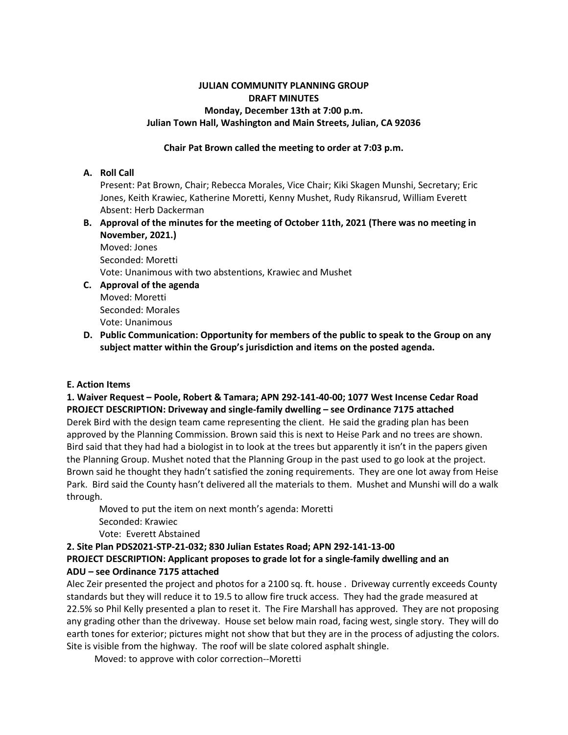# **JULIAN COMMUNITY PLANNING GROUP DRAFT MINUTES Monday, December 13th at 7:00 p.m. Julian Town Hall, Washington and Main Streets, Julian, CA 92036**

# **Chair Pat Brown called the meeting to order at 7:03 p.m.**

# **A. Roll Call**

Present: Pat Brown, Chair; Rebecca Morales, Vice Chair; Kiki Skagen Munshi, Secretary; Eric Jones, Keith Krawiec, Katherine Moretti, Kenny Mushet, Rudy Rikansrud, William Everett Absent: Herb Dackerman

**B. Approval of the minutes for the meeting of October 11th, 2021 (There was no meeting in November, 2021.)** 

Moved: Jones Seconded: Moretti Vote: Unanimous with two abstentions, Krawiec and Mushet

- **C. Approval of the agenda** Moved: Moretti Seconded: Morales Vote: Unanimous
- **D. Public Communication: Opportunity for members of the public to speak to the Group on any subject matter within the Group's jurisdiction and items on the posted agenda.**

# **E. Action Items**

**1. Waiver Request – Poole, Robert & Tamara; APN 292-141-40-00; 1077 West Incense Cedar Road PROJECT DESCRIPTION: Driveway and single-family dwelling – see Ordinance 7175 attached** Derek Bird with the design team came representing the client. He said the grading plan has been approved by the Planning Commission. Brown said this is next to Heise Park and no trees are shown. Bird said that they had had a biologist in to look at the trees but apparently it isn't in the papers given the Planning Group. Mushet noted that the Planning Group in the past used to go look at the project. Brown said he thought they hadn't satisfied the zoning requirements. They are one lot away from Heise Park. Bird said the County hasn't delivered all the materials to them. Mushet and Munshi will do a walk through.

Moved to put the item on next month's agenda: Moretti Seconded: Krawiec Vote: Everett Abstained

# **2. Site Plan PDS2021-STP-21-032; 830 Julian Estates Road; APN 292-141-13-00**

# **PROJECT DESCRIPTION: Applicant proposes to grade lot for a single-family dwelling and an ADU – see Ordinance 7175 attached**

Alec Zeir presented the project and photos for a 2100 sq. ft. house . Driveway currently exceeds County standards but they will reduce it to 19.5 to allow fire truck access. They had the grade measured at 22.5% so Phil Kelly presented a plan to reset it. The Fire Marshall has approved. They are not proposing any grading other than the driveway. House set below main road, facing west, single story. They will do earth tones for exterior; pictures might not show that but they are in the process of adjusting the colors. Site is visible from the highway. The roof will be slate colored asphalt shingle.

Moved: to approve with color correction--Moretti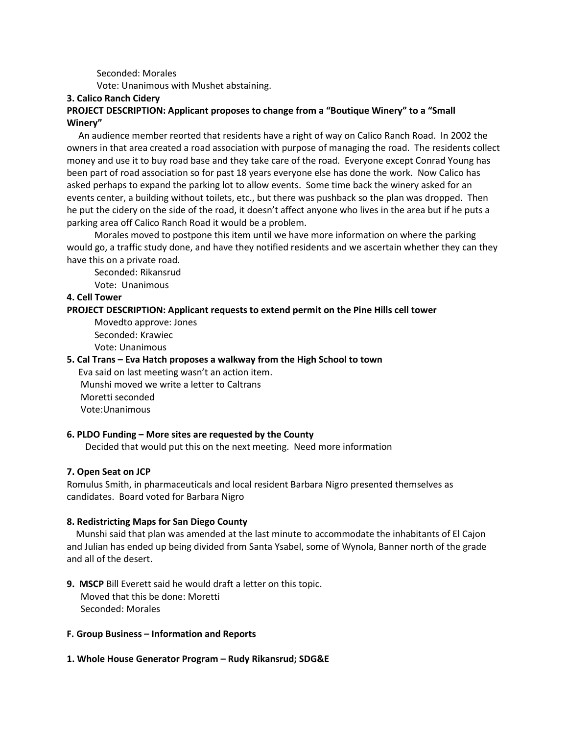Seconded: Morales

Vote: Unanimous with Mushet abstaining.

#### **3. Calico Ranch Cidery**

# **PROJECT DESCRIPTION: Applicant proposes to change from a "Boutique Winery" to a "Small Winery"**

An audience member reorted that residents have a right of way on Calico Ranch Road. In 2002 the owners in that area created a road association with purpose of managing the road. The residents collect money and use it to buy road base and they take care of the road. Everyone except Conrad Young has been part of road association so for past 18 years everyone else has done the work. Now Calico has asked perhaps to expand the parking lot to allow events. Some time back the winery asked for an events center, a building without toilets, etc., but there was pushback so the plan was dropped. Then he put the cidery on the side of the road, it doesn't affect anyone who lives in the area but if he puts a parking area off Calico Ranch Road it would be a problem.

Morales moved to postpone this item until we have more information on where the parking would go, a traffic study done, and have they notified residents and we ascertain whether they can they have this on a private road.

Seconded: Rikansrud

Vote: Unanimous

#### **4. Cell Tower**

#### **PROJECT DESCRIPTION: Applicant requests to extend permit on the Pine Hills cell tower**

Movedto approve: Jones Seconded: Krawiec Vote: Unanimous

#### **5. Cal Trans – Eva Hatch proposes a walkway from the High School to town**

Eva said on last meeting wasn't an action item. Munshi moved we write a letter to Caltrans Moretti seconded Vote:Unanimous

### **6. PLDO Funding – More sites are requested by the County**

Decided that would put this on the next meeting. Need more information

#### **7. Open Seat on JCP**

Romulus Smith, in pharmaceuticals and local resident Barbara Nigro presented themselves as candidates. Board voted for Barbara Nigro

#### **8. Redistricting Maps for San Diego County**

Munshi said that plan was amended at the last minute to accommodate the inhabitants of El Cajon and Julian has ended up being divided from Santa Ysabel, some of Wynola, Banner north of the grade and all of the desert.

**9. MSCP** Bill Everett said he would draft a letter on this topic. Moved that this be done: Moretti Seconded: Morales

#### **F. Group Business – Information and Reports**

### **1. Whole House Generator Program – Rudy Rikansrud; SDG&E**